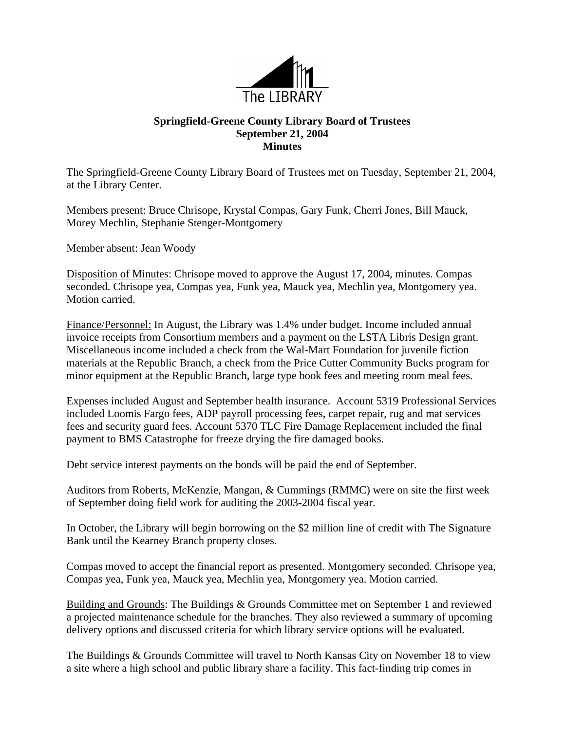

## **Springfield-Greene County Library Board of Trustees September 21, 2004 Minutes**

The Springfield-Greene County Library Board of Trustees met on Tuesday, September 21, 2004, at the Library Center.

Members present: Bruce Chrisope, Krystal Compas, Gary Funk, Cherri Jones, Bill Mauck, Morey Mechlin, Stephanie Stenger-Montgomery

Member absent: Jean Woody

Disposition of Minutes: Chrisope moved to approve the August 17, 2004, minutes. Compas seconded. Chrisope yea, Compas yea, Funk yea, Mauck yea, Mechlin yea, Montgomery yea. Motion carried.

Finance/Personnel: In August, the Library was 1.4% under budget. Income included annual invoice receipts from Consortium members and a payment on the LSTA Libris Design grant. Miscellaneous income included a check from the Wal-Mart Foundation for juvenile fiction materials at the Republic Branch, a check from the Price Cutter Community Bucks program for minor equipment at the Republic Branch, large type book fees and meeting room meal fees.

Expenses included August and September health insurance. Account 5319 Professional Services included Loomis Fargo fees, ADP payroll processing fees, carpet repair, rug and mat services fees and security guard fees. Account 5370 TLC Fire Damage Replacement included the final payment to BMS Catastrophe for freeze drying the fire damaged books.

Debt service interest payments on the bonds will be paid the end of September.

Auditors from Roberts, McKenzie, Mangan, & Cummings (RMMC) were on site the first week of September doing field work for auditing the 2003-2004 fiscal year.

In October, the Library will begin borrowing on the \$2 million line of credit with The Signature Bank until the Kearney Branch property closes.

Compas moved to accept the financial report as presented. Montgomery seconded. Chrisope yea, Compas yea, Funk yea, Mauck yea, Mechlin yea, Montgomery yea. Motion carried.

Building and Grounds: The Buildings & Grounds Committee met on September 1 and reviewed a projected maintenance schedule for the branches. They also reviewed a summary of upcoming delivery options and discussed criteria for which library service options will be evaluated.

The Buildings & Grounds Committee will travel to North Kansas City on November 18 to view a site where a high school and public library share a facility. This fact-finding trip comes in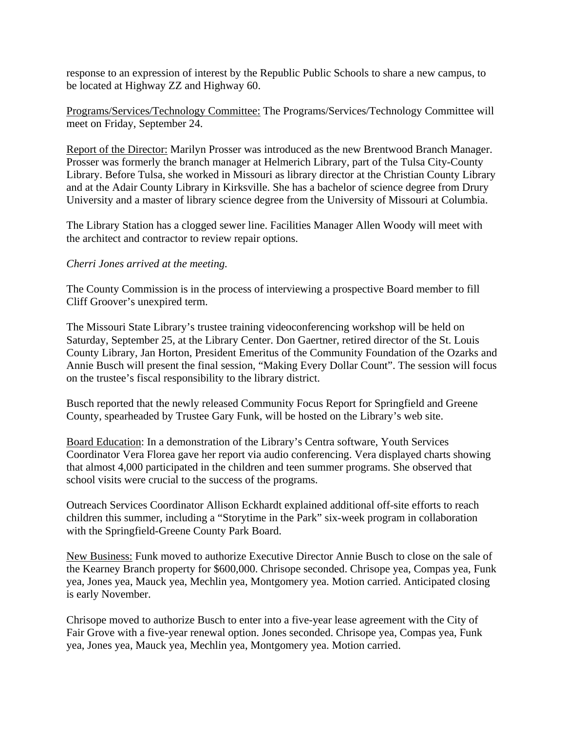response to an expression of interest by the Republic Public Schools to share a new campus, to be located at Highway ZZ and Highway 60.

Programs/Services/Technology Committee: The Programs/Services/Technology Committee will meet on Friday, September 24.

Report of the Director: Marilyn Prosser was introduced as the new Brentwood Branch Manager. Prosser was formerly the branch manager at Helmerich Library, part of the Tulsa City-County Library. Before Tulsa, she worked in Missouri as library director at the Christian County Library and at the Adair County Library in Kirksville. She has a bachelor of science degree from Drury University and a master of library science degree from the University of Missouri at Columbia.

The Library Station has a clogged sewer line. Facilities Manager Allen Woody will meet with the architect and contractor to review repair options.

## *Cherri Jones arrived at the meeting.*

The County Commission is in the process of interviewing a prospective Board member to fill Cliff Groover's unexpired term.

The Missouri State Library's trustee training videoconferencing workshop will be held on Saturday, September 25, at the Library Center. Don Gaertner, retired director of the St. Louis County Library, Jan Horton, President Emeritus of the Community Foundation of the Ozarks and Annie Busch will present the final session, "Making Every Dollar Count". The session will focus on the trustee's fiscal responsibility to the library district.

Busch reported that the newly released Community Focus Report for Springfield and Greene County, spearheaded by Trustee Gary Funk, will be hosted on the Library's web site.

Board Education: In a demonstration of the Library's Centra software, Youth Services Coordinator Vera Florea gave her report via audio conferencing. Vera displayed charts showing that almost 4,000 participated in the children and teen summer programs. She observed that school visits were crucial to the success of the programs.

Outreach Services Coordinator Allison Eckhardt explained additional off-site efforts to reach children this summer, including a "Storytime in the Park" six-week program in collaboration with the Springfield-Greene County Park Board.

New Business: Funk moved to authorize Executive Director Annie Busch to close on the sale of the Kearney Branch property for \$600,000. Chrisope seconded. Chrisope yea, Compas yea, Funk yea, Jones yea, Mauck yea, Mechlin yea, Montgomery yea. Motion carried. Anticipated closing is early November.

Chrisope moved to authorize Busch to enter into a five-year lease agreement with the City of Fair Grove with a five-year renewal option. Jones seconded. Chrisope yea, Compas yea, Funk yea, Jones yea, Mauck yea, Mechlin yea, Montgomery yea. Motion carried.